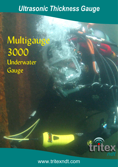# *Ultrasonic Thickness Gauge*

Multigauge 3000 Underwater Gauge



tritex

**ND**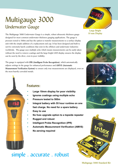## Multigauge 3000 Underwater Gauge

The Multigauge 3000 Underwater Gauge is a simple, robust ultrasonic thickness gauge designed for most common underwater thickness gauging applications. The gauge is pressure tested to 500m and has the option to transfer measurements to a surface display unit with the simple addition of a replacement end cap. It has been designed and built to survive extremely harsh conditions that exist in the offshore and underwater industries worldwide. The gauge uses multiple echo which means measurements can be easily taken without the need to remove coatings and the large bright LED display ensures the display can be seen by the diver, even in poor visibility.

The gauge is equipped with IPR (Intelligent Probe Recognition), which automatically adjusts settings in the gauge for enhanced performance and AMVS (Automatic Measurement Verification System) to ensure only true measurements are displayed, even on the most heavily corroded metals.



**Large Bright** 10 mm Display









#### Features:

- **Large 10mm display for poor visibility**
- **Ignores coatings using multiple echo**
- **Pressure tested to 500m**
- **Integral battery with 55 hour runtime on one fast charge. No need for a spare battery.**
- **Easy to use**
- **No fuss upgrade option to a topside repeater**
- **Rugged and robust**
- **Intelligent Probe Recognition (IPR)**
- **Automatic Measurement Verification (AMVS)**
- **No zeroing required**

### simple . accurate . robust

Multigauge 3000 Standard Kit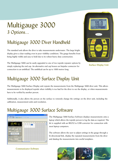## Multigauge 3000 3 Options...

### Multigauge 3000 Diver Handheld

The standard unit allows the diver to take measurements underwater. The large bright display gives a clear reading even in poor visibility conditions. The gauge benefits from being highly visible and easy to hold due to its robust heavy duty construction.

The Multigauge 3000 can be easily upgraded to one of two topside repeater options by simply replacing the end cap. An alternative end cap houses an Impulse connector for connection to an umbilical. The umbilical can be up to 1000 metres long.



**Surface Display Unit** 

#### Multigauge 3000 Surface Display Unit

The Multigauge 3000 Surface Display unit repeats the measurements from the Multigauge 3000 diver unit. This allows measurements to be displayed topside when visibility is too bad for the diver to see the display, or when measurements have to be verified by another person.

Additionally, it also allows the person on the surface to remotely change the settings on the diver unit, including the calibration, measurement units and resolution.

#### Multigauge 3000 Surface Software



**Communicator Software** 

The Multigauge 3000 Surface Software displays measurements onto a laptop which allows the topside person to log the data as required. The kit is supplied with an RS232 to USB converter for connection with most laptop computers.

The software allows the user to adjust settings in the gauge through a bi-directional link, display the repeated measurements from the diver and datalog the measurements into useful templates.